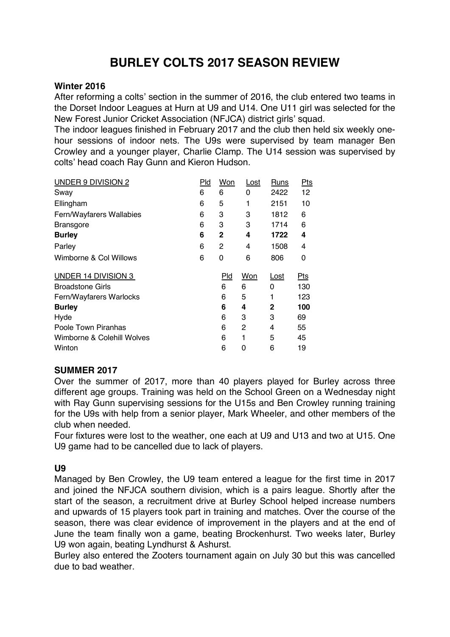# **BURLEY COLTS 2017 SEASON REVIEW**

### **Winter 2016**

After reforming a colts' section in the summer of 2016, the club entered two teams in the Dorset Indoor Leagues at Hurn at U9 and U14. One U11 girl was selected for the New Forest Junior Cricket Association (NFJCA) district girls' squad.

The indoor leagues finished in February 2017 and the club then held six weekly onehour sessions of indoor nets. The U9s were supervised by team manager Ben Crowley and a younger player, Charlie Clamp. The U14 session was supervised by colts' head coach Ray Gunn and Kieron Hudson.

| UNDER 9 DIVISION 2         | Pld | Won        | <u>Lost</u> | <b>Runs</b> | <b>Pts</b> |
|----------------------------|-----|------------|-------------|-------------|------------|
| Swav                       | 6   | 6          | 0           | 2422        | 12         |
| Ellingham                  | 6   | 5          | 1           | 2151        | 10         |
| Fern/Wayfarers Wallabies   | 6   | 3          | 3           | 1812        | 6          |
| <b>Bransgore</b>           | 6   | 3          | 3           | 1714        | 6          |
| <b>Burley</b>              | 6   | 2          | 4           | 1722        | 4          |
| Parley                     | 6   | 2          | 4           | 1508        | 4          |
| Wimborne & Col Willows     | 6   | 0          | 6           | 806         | 0          |
| UNDER 14 DIVISION 3        |     | <u>Pld</u> | Won         | <u>Lost</u> | $Pts$      |
| <b>Broadstone Girls</b>    |     | 6          | 6           | 0           | 130        |
| Fern/Wayfarers Warlocks    |     | 6          | 5           | 1           | 123        |
| <b>Burley</b>              |     | 6          | 4           | 2           | 100        |
| Hyde                       |     | 6          | 3           | 3           | 69         |
| Poole Town Piranhas        |     | 6          | 2           | 4           | 55         |
| Wimborne & Colehill Wolves |     | 6          | 1           | 5           | 45         |
| Winton                     |     | 6          | 0           | 6           | 19         |
|                            |     |            |             |             |            |

# **SUMMER 2017**

Over the summer of 2017, more than 40 players played for Burley across three different age groups. Training was held on the School Green on a Wednesday night with Ray Gunn supervising sessions for the U15s and Ben Crowley running training for the U9s with help from a senior player, Mark Wheeler, and other members of the club when needed.

Four fixtures were lost to the weather, one each at U9 and U13 and two at U15. One U9 game had to be cancelled due to lack of players.

# **U9**

Managed by Ben Crowley, the U9 team entered a league for the first time in 2017 and joined the NFJCA southern division, which is a pairs league. Shortly after the start of the season, a recruitment drive at Burley School helped increase numbers and upwards of 15 players took part in training and matches. Over the course of the season, there was clear evidence of improvement in the players and at the end of June the team finally won a game, beating Brockenhurst. Two weeks later, Burley U9 won again, beating Lyndhurst & Ashurst.

Burley also entered the Zooters tournament again on July 30 but this was cancelled due to bad weather.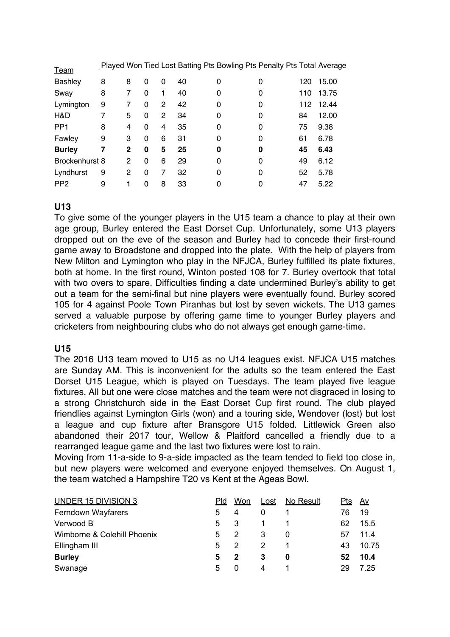| <b>Team</b>     |   |              |          |   |    | Played Won Tied Lost Batting Pts Bowling Pts Penalty Pts Total Average |   |     |       |
|-----------------|---|--------------|----------|---|----|------------------------------------------------------------------------|---|-----|-------|
| Bashley         | 8 | 8            | 0        | 0 | 40 | 0                                                                      | 0 | 120 | 15.00 |
| Sway            | 8 | 7            | $\Omega$ | 1 | 40 | 0                                                                      | 0 | 110 | 13.75 |
| Lymington       | 9 |              | 0        | 2 | 42 | 0                                                                      | 0 | 112 | 12.44 |
| H&D             | 7 | 5            | 0        | 2 | 34 | 0                                                                      | 0 | 84  | 12.00 |
| PP <sub>1</sub> | 8 | 4            | 0        | 4 | 35 | 0                                                                      | 0 | 75  | 9.38  |
| Fawley          | 9 | 3            | 0        | 6 | 31 | 0                                                                      | 0 | 61  | 6.78  |
| <b>Burley</b>   | 7 | $\mathbf{2}$ | 0        | 5 | 25 | 0                                                                      | 0 | 45  | 6.43  |
| Brockenhurst 8  |   | 2            | 0        | 6 | 29 | 0                                                                      | 0 | 49  | 6.12  |
| Lyndhurst       | 9 | 2            | 0        | 7 | 32 | 0                                                                      | 0 | 52  | 5.78  |
| PP <sub>2</sub> | 9 |              | 0        | 8 | 33 | 0                                                                      |   | 47  | 5.22  |

# **U13**

To give some of the younger players in the U15 team a chance to play at their own age group, Burley entered the East Dorset Cup. Unfortunately, some U13 players dropped out on the eve of the season and Burley had to concede their first-round game away to Broadstone and dropped into the plate. With the help of players from New Milton and Lymington who play in the NFJCA, Burley fulfilled its plate fixtures, both at home. In the first round, Winton posted 108 for 7. Burley overtook that total with two overs to spare. Difficulties finding a date undermined Burley's ability to get out a team for the semi-final but nine players were eventually found. Burley scored 105 for 4 against Poole Town Piranhas but lost by seven wickets. The U13 games served a valuable purpose by offering game time to younger Burley players and cricketers from neighbouring clubs who do not always get enough game-time.

# **U15**

The 2016 U13 team moved to U15 as no U14 leagues exist. NFJCA U15 matches are Sunday AM. This is inconvenient for the adults so the team entered the East Dorset U15 League, which is played on Tuesdays. The team played five league fixtures. All but one were close matches and the team were not disgraced in losing to a strong Christchurch side in the East Dorset Cup first round. The club played friendlies against Lymington Girls (won) and a touring side, Wendover (lost) but lost a league and cup fixture after Bransgore U15 folded. Littlewick Green also abandoned their 2017 tour, Wellow & Plaitford cancelled a friendly due to a rearranged league game and the last two fixtures were lost to rain.

Moving from 11-a-side to 9-a-side impacted as the team tended to field too close in, but new players were welcomed and everyone enjoyed themselves. On August 1, the team watched a Hampshire T20 vs Kent at the Ageas Bowl.

| <b>UNDER 15 DIVISION 3</b>  | Pld | Won    | Lost | No Result | <u>Pts</u> | <u>Av</u> |
|-----------------------------|-----|--------|------|-----------|------------|-----------|
| Ferndown Wayfarers          | 5.  | 4      | 0    |           | 76         | 19        |
| Verwood B                   | 5   | - 3    | 1.   |           | 62         | 15.5      |
| Wimborne & Colehill Phoenix | 5.  | 2      | 3    |           | 57         | 11.4      |
| Ellingham III               | 5.  |        |      |           | 43         | 10.75     |
| <b>Burley</b>               | 5.  | 2      | 3    | 0         | 52         | 10.4      |
| Swanage                     | 5.  | $\cup$ | 4    |           | 29         | 7.25      |